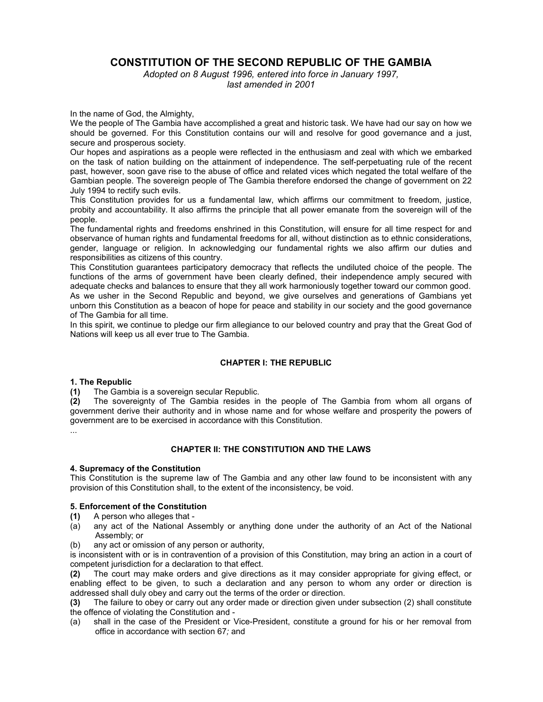# **CONSTITUTION OF THE SECOND REPUBLIC OF THE GAMBIA**

*Adopted on 8 August 1996, entered into force in January 1997, last amended in 2001* 

In the name of God, the Almighty,

We the people of The Gambia have accomplished a great and historic task. We have had our say on how we should be governed. For this Constitution contains our will and resolve for good governance and a just, secure and prosperous society.

Our hopes and aspirations as a people were reflected in the enthusiasm and zeal with which we embarked on the task of nation building on the attainment of independence. The self-perpetuating rule of the recent past, however, soon gave rise to the abuse of office and related vices which negated the total welfare of the Gambian people. The sovereign people of The Gambia therefore endorsed the change of government on 22 July 1994 to rectify such evils.

This Constitution provides for us a fundamental law, which affirms our commitment to freedom, justice, probity and accountability. It also affirms the principle that all power emanate from the sovereign will of the people.

The fundamental rights and freedoms enshrined in this Constitution, will ensure for all time respect for and observance of human rights and fundamental freedoms for all, without distinction as to ethnic considerations, gender, language or religion. In acknowledging our fundamental rights we also affirm our duties and responsibilities as citizens of this country.

This Constitution guarantees participatory democracy that reflects the undiluted choice of the people. The functions of the arms of government have been clearly defined, their independence amply secured with adequate checks and balances to ensure that they all work harmoniously together toward our common good. As we usher in the Second Republic and beyond, we give ourselves and generations of Gambians yet unborn this Constitution as a beacon of hope for peace and stability in our society and the good governance of The Gambia for all time.

In this spirit, we continue to pledge our firm allegiance to our beloved country and pray that the Great God of Nations will keep us all ever true to The Gambia.

### **CHAPTER I: THE REPUBLIC**

### **1. The Republic**

**(1)** The Gambia is a sovereign secular Republic.

**(2)** The sovereignty of The Gambia resides in the people of The Gambia from whom all organs of government derive their authority and in whose name and for whose welfare and prosperity the powers of government are to be exercised in accordance with this Constitution.

...

### **CHAPTER II: THE CONSTITUTION AND THE LAWS**

### **4. Supremacy of the Constitution**

This Constitution is the supreme law of The Gambia and any other law found to be inconsistent with any provision of this Constitution shall, to the extent of the inconsistency, be void.

### **5. Enforcement of the Constitution**

- **(1)** A person who alleges that -
- (a) any act of the National Assembly or anything done under the authority of an Act of the National Assembly; or
- (b) any act or omission of any person or authority,

is inconsistent with or is in contravention of a provision of this Constitution, may bring an action in a court of competent jurisdiction for a declaration to that effect.

**(2)** The court may make orders and give directions as it may consider appropriate for giving effect, or enabling effect to be given, to such a declaration and any person to whom any order or direction is addressed shall duly obey and carry out the terms of the order or direction.

**(3)** The failure to obey or carry out any order made or direction given under subsection (2) shall constitute the offence of violating the Constitution and -

(a) shall in the case of the President or Vice-President, constitute a ground for his or her removal from office in accordance with section 67*;* and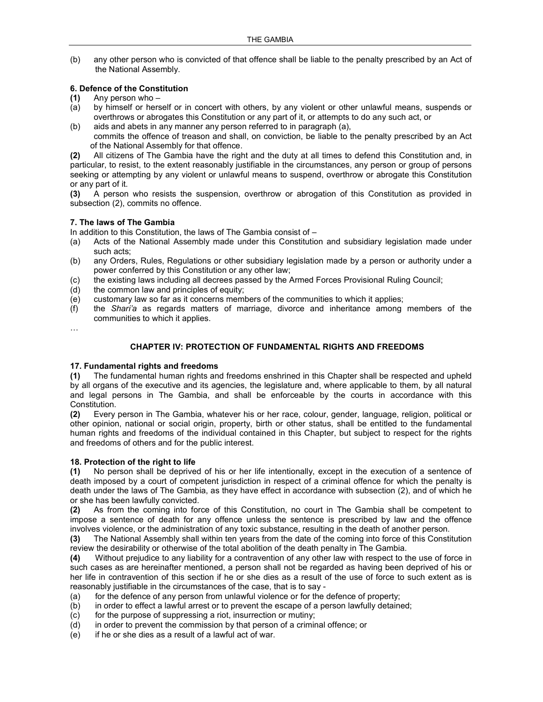(b) any other person who is convicted of that offence shall be liable to the penalty prescribed by an Act of the National Assembly.

# **6. Defence of the Constitution**

- **(1)** Any person who –
- (a) by himself or herself or in concert with others, by any violent or other unlawful means, suspends or overthrows or abrogates this Constitution or any part of it, or attempts to do any such act, or
- (b) aids and abets in any manner any person referred to in paragraph (a), commits the offence of treason and shall, on conviction, be liable to the penalty prescribed by an Act of the National Assembly for that offence.

**(2)** All citizens of The Gambia have the right and the duty at all times to defend this Constitution and, in particular, to resist, to the extent reasonably justifiable in the circumstances, any person or group of persons seeking or attempting by any violent or unlawful means to suspend, overthrow or abrogate this Constitution or any part of it.

**(3)** A person who resists the suspension, overthrow or abrogation of this Constitution as provided in subsection (2), commits no offence.

# **7. The laws of The Gambia**

In addition to this Constitution, the laws of The Gambia consist of –

- (a) Acts of the National Assembly made under this Constitution and subsidiary legislation made under such acts;
- (b) any Orders, Rules, Regulations or other subsidiary legislation made by a person or authority under a power conferred by this Constitution or any other law;
- (c) the existing laws including all decrees passed by the Armed Forces Provisional Ruling Council;
- (d) the common law and principles of equity;
- (e) customary law so far as it concerns members of the communities to which it applies;
- (f) the *Shari'a* as regards matters of marriage, divorce and inheritance among members of the communities to which it applies.

…

# **CHAPTER IV: PROTECTION OF FUNDAMENTAL RIGHTS AND FREEDOMS**

# **17. Fundamental rights and freedoms**

**(1)** The fundamental human rights and freedoms enshrined in this Chapter shall be respected and upheld by all organs of the executive and its agencies, the legislature and, where applicable to them, by all natural and legal persons in The Gambia, and shall be enforceable by the courts in accordance with this Constitution.

**(2)** Every person in The Gambia, whatever his or her race, colour, gender, language, religion, political or other opinion, national or social origin, property, birth or other status, shall be entitled to the fundamental human rights and freedoms of the individual contained in this Chapter, but subject to respect for the rights and freedoms of others and for the public interest.

### **18. Protection of the right to life**

**(1)** No person shall be deprived of his or her life intentionally, except in the execution of a sentence of death imposed by a court of competent jurisdiction in respect of a criminal offence for which the penalty is death under the laws of The Gambia, as they have effect in accordance with subsection (2), and of which he or she has been lawfully convicted.

**(2)** As from the coming into force of this Constitution, no court in The Gambia shall be competent to impose a sentence of death for any offence unless the sentence is prescribed by law and the offence involves violence, or the administration of any toxic substance, resulting in the death of another person.

**(3)** The National Assembly shall within ten years from the date of the coming into force of this Constitution review the desirability or otherwise of the total abolition of the death penalty in The Gambia.

**(4)** Without prejudice to any liability for a contravention of any other law with respect to the use of force in such cases as are hereinafter mentioned, a person shall not be regarded as having been deprived of his or her life in contravention of this section if he or she dies as a result of the use of force to such extent as is reasonably justifiable in the circumstances of the case, that is to say -

- (a) for the defence of any person from unlawful violence or for the defence of property;
- (b) in order to effect a lawful arrest or to prevent the escape of a person lawfully detained;
- (c) for the purpose of suppressing a riot, insurrection or mutiny;
- (d) in order to prevent the commission by that person of a criminal offence; or
- (e) if he or she dies as a result of a lawful act of war.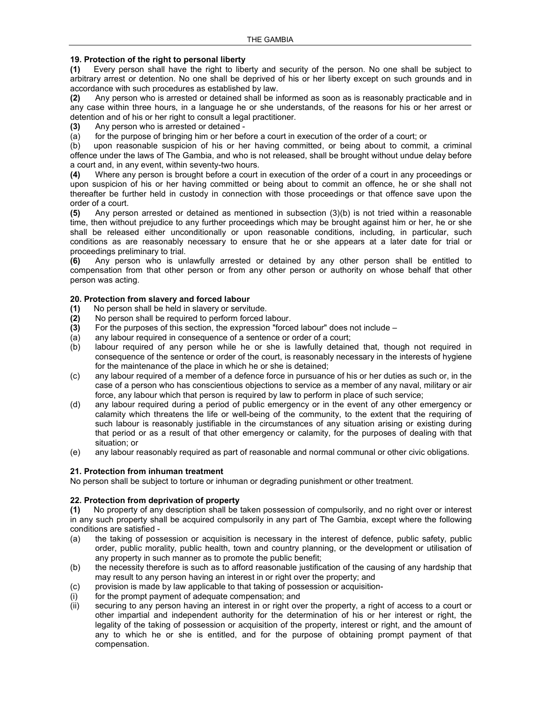# **19. Protection of the right to personal liberty**

**(1)** Every person shall have the right to liberty and security of the person. No one shall be subject to arbitrary arrest or detention. No one shall be deprived of his or her liberty except on such grounds and in accordance with such procedures as established by law.

**(2)** Any person who is arrested or detained shall be informed as soon as is reasonably practicable and in any case within three hours, in a language he or she understands, of the reasons for his or her arrest or detention and of his or her right to consult a legal practitioner.

**(3)** Any person who is arrested or detained -

(a) for the purpose of bringing him or her before a court in execution of the order of a court; or

(b) upon reasonable suspicion of his or her having committed, or being about to commit, a criminal offence under the laws of The Gambia, and who is not released, shall be brought without undue delay before a court and, in any event, within seventy-two hours.

**(4)** Where any person is brought before a court in execution of the order of a court in any proceedings or upon suspicion of his or her having committed or being about to commit an offence, he or she shall not thereafter be further held in custody in connection with those proceedings or that offence save upon the order of a court.

**(5)** Any person arrested or detained as mentioned in subsection (3)(b) is not tried within a reasonable time, then without prejudice to any further proceedings which may be brought against him or her, he or she shall be released either unconditionally or upon reasonable conditions, including, in particular, such conditions as are reasonably necessary to ensure that he or she appears at a later date for trial or proceedings preliminary to trial.

**(6)** Any person who is unlawfully arrested or detained by any other person shall be entitled to compensation from that other person or from any other person or authority on whose behalf that other person was acting.

# **20. Protection from slavery and forced labour**

- **(1)** No person shall be held in slavery or servitude.
- **(2)** No person shall be required to perform forced labour.
- **(3)** For the purposes of this section, the expression "forced labour" does not include –
- (a) any labour required in consequence of a sentence or order of a court;
- (b) labour required of any person while he or she is lawfully detained that, though not required in consequence of the sentence or order of the court, is reasonably necessary in the interests of hygiene for the maintenance of the place in which he or she is detained;
- (c) any labour required of a member of a defence force in pursuance of his or her duties as such or, in the case of a person who has conscientious objections to service as a member of any naval, military or air force, any labour which that person is required by law to perform in place of such service;
- (d) any labour required during a period of public emergency or in the event of any other emergency or calamity which threatens the life or well-being of the community, to the extent that the requiring of such labour is reasonably justifiable in the circumstances of any situation arising or existing during that period or as a result of that other emergency or calamity, for the purposes of dealing with that situation; or
- (e) any labour reasonably required as part of reasonable and normal communal or other civic obligations.

### **21. Protection from inhuman treatment**

No person shall be subject to torture or inhuman or degrading punishment or other treatment.

# **22. Protection from deprivation of property**

**(1)** No property of any description shall be taken possession of compulsorily, and no right over or interest in any such property shall be acquired compulsorily in any part of The Gambia, except where the following conditions are satisfied -

- (a) the taking of possession or acquisition is necessary in the interest of defence, public safety, public order, public morality, public health, town and country planning, or the development or utilisation of any property in such manner as to promote the public benefit;
- (b) the necessity therefore is such as to afford reasonable justification of the causing of any hardship that may result to any person having an interest in or right over the property; and
- (c) provision is made by law applicable to that taking of possession or acquisition-
- (i) for the prompt payment of adequate compensation; and
- (ii) securing to any person having an interest in or right over the property, a right of access to a court or other impartial and independent authority for the determination of his or her interest or right, the legality of the taking of possession or acquisition of the property, interest or right, and the amount of any to which he or she is entitled, and for the purpose of obtaining prompt payment of that compensation.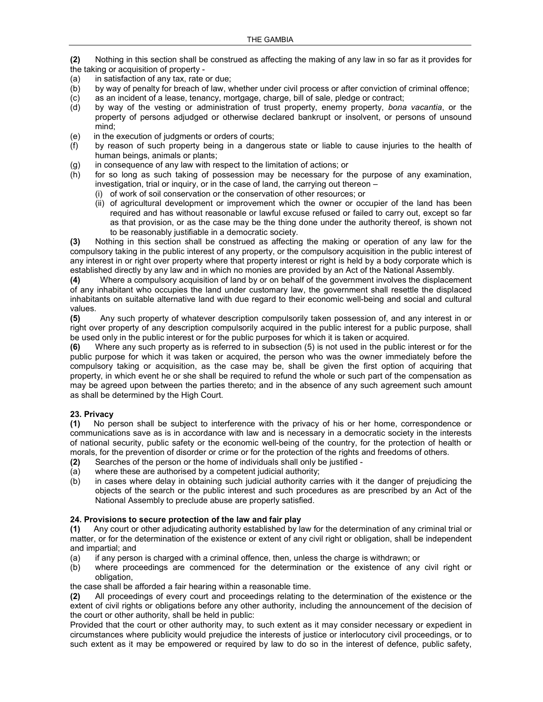- **(2)** Nothing in this section shall be construed as affecting the making of any law in so far as it provides for the taking or acquisition of property -
- (a) in satisfaction of any tax, rate or due;
- (b) by way of penalty for breach of law, whether under civil process or after conviction of criminal offence;
- (c) as an incident of a lease, tenancy, mortgage, charge, bill of sale, pledge or contract;
- (d) by way of the vesting or administration of trust property, enemy property, *bona vacantia*, or the property of persons adjudged or otherwise declared bankrupt or insolvent, or persons of unsound mind;
- (e) in the execution of judgments or orders of courts;
- (f) by reason of such property being in a dangerous state or liable to cause injuries to the health of human beings, animals or plants;
- (g) in consequence of any law with respect to the limitation of actions; or
- (h) for so long as such taking of possession may be necessary for the purpose of any examination, investigation, trial or inquiry, or in the case of land, the carrying out thereon –
	- (i) of work of soil conservation or the conservation of other resources; or
	- (ii) of agricultural development or improvement which the owner or occupier of the land has been required and has without reasonable or lawful excuse refused or failed to carry out, except so far as that provision, or as the case may be the thing done under the authority thereof, is shown not to be reasonably justifiable in a democratic society.

**(3)** Nothing in this section shall be construed as affecting the making or operation of any law for the compulsory taking in the public interest of any property, or the compulsory acquisition in the public interest of any interest in or right over property where that property interest or right is held by a body corporate which is established directly by any law and in which no monies are provided by an Act of the National Assembly.

**(4)** Where a compulsory acquisition of land by or on behalf of the government involves the displacement of any inhabitant who occupies the land under customary law, the government shall resettle the displaced inhabitants on suitable alternative land with due regard to their economic well-being and social and cultural values.

**(5)** Any such property of whatever description compulsorily taken possession of, and any interest in or right over property of any description compulsorily acquired in the public interest for a public purpose, shall be used only in the public interest or for the public purposes for which it is taken or acquired.

**(6)** Where any such property as is referred to in subsection (5) is not used in the public interest or for the public purpose for which it was taken or acquired, the person who was the owner immediately before the compulsory taking or acquisition, as the case may be, shall be given the first option of acquiring that property, in which event he or she shall be required to refund the whole or such part of the compensation as may be agreed upon between the parties thereto; and in the absence of any such agreement such amount as shall be determined by the High Court.

# **23. Privacy**

**(1)** No person shall be subject to interference with the privacy of his or her home, correspondence or communications save as is in accordance with law and is necessary in a democratic society in the interests of national security, public safety or the economic well-being of the country, for the protection of health or morals, for the prevention of disorder or crime or for the protection of the rights and freedoms of others.

- **(2)** Searches of the person or the home of individuals shall only be justified -
- (a) where these are authorised by a competent judicial authority;
- (b) in cases where delay in obtaining such judicial authority carries with it the danger of prejudicing the objects of the search or the public interest and such procedures as are prescribed by an Act of the National Assembly to preclude abuse are properly satisfied.

### **24. Provisions to secure protection of the law and fair play**

**(1)** Any court or other adjudicating authority established by law for the determination of any criminal trial or matter, or for the determination of the existence or extent of any civil right or obligation, shall be independent and impartial; and

- (a) if any person is charged with a criminal offence, then, unless the charge is withdrawn; or
- (b) where proceedings are commenced for the determination or the existence of any civil right or obligation,

the case shall be afforded a fair hearing within a reasonable time.

**(2)** All proceedings of every court and proceedings relating to the determination of the existence or the extent of civil rights or obligations before any other authority, including the announcement of the decision of the court or other authority, shall be held in public:

Provided that the court or other authority may, to such extent as it may consider necessary or expedient in circumstances where publicity would prejudice the interests of justice or interlocutory civil proceedings, or to such extent as it may be empowered or required by law to do so in the interest of defence, public safety,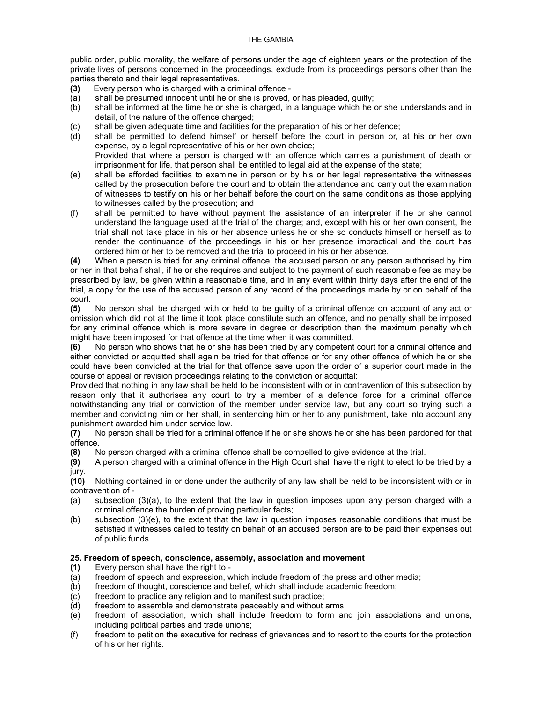public order, public morality, the welfare of persons under the age of eighteen years or the protection of the private lives of persons concerned in the proceedings, exclude from its proceedings persons other than the parties thereto and their legal representatives.

- **(3)** Every person who is charged with a criminal offence -
- (a) shall be presumed innocent until he or she is proved, or has pleaded, guilty;
- (b) shall be informed at the time he or she is charged, in a language which he or she understands and in detail, of the nature of the offence charged;
- (c) shall be given adequate time and facilities for the preparation of his or her defence;
- (d) shall be permitted to defend himself or herself before the court in person or, at his or her own expense, by a legal representative of his or her own choice; Provided that where a person is charged with an offence which carries a punishment of death or

imprisonment for life, that person shall be entitled to legal aid at the expense of the state;

- (e) shall be afforded facilities to examine in person or by his or her legal representative the witnesses called by the prosecution before the court and to obtain the attendance and carry out the examination of witnesses to testify on his or her behalf before the court on the same conditions as those applying to witnesses called by the prosecution; and
- (f) shall be permitted to have without payment the assistance of an interpreter if he or she cannot understand the language used at the trial of the charge; and, except with his or her own consent, the trial shall not take place in his or her absence unless he or she so conducts himself or herself as to render the continuance of the proceedings in his or her presence impractical and the court has ordered him or her to be removed and the trial to proceed in his or her absence.

**(4)** When a person is tried for any criminal offence, the accused person or any person authorised by him or her in that behalf shall, if he or she requires and subject to the payment of such reasonable fee as may be prescribed by law, be given within a reasonable time, and in any event within thirty days after the end of the trial, a copy for the use of the accused person of any record of the proceedings made by or on behalf of the court.

**(5)** No person shall be charged with or held to be guilty of a criminal offence on account of any act or omission which did not at the time it took place constitute such an offence, and no penalty shall be imposed for any criminal offence which is more severe in degree or description than the maximum penalty which might have been imposed for that offence at the time when it was committed.

**(6)** No person who shows that he or she has been tried by any competent court for a criminal offence and either convicted or acquitted shall again be tried for that offence or for any other offence of which he or she could have been convicted at the trial for that offence save upon the order of a superior court made in the course of appeal or revision proceedings relating to the conviction or acquittal:

Provided that nothing in any law shall be held to be inconsistent with or in contravention of this subsection by reason only that it authorises any court to try a member of a defence force for a criminal offence notwithstanding any trial or conviction of the member under service law, but any court so trying such a member and convicting him or her shall, in sentencing him or her to any punishment, take into account any punishment awarded him under service law.

**(7)** No person shall be tried for a criminal offence if he or she shows he or she has been pardoned for that offence.

- **(8)** No person charged with a criminal offence shall be compelled to give evidence at the trial.
- **(9)** A person charged with a criminal offence in the High Court shall have the right to elect to be tried by a jury.

**(10)** Nothing contained in or done under the authority of any law shall be held to be inconsistent with or in contravention of -

- (a) subsection (3)(a), to the extent that the law in question imposes upon any person charged with a criminal offence the burden of proving particular facts;
- (b) subsection (3)(e), to the extent that the law in question imposes reasonable conditions that must be satisfied if witnesses called to testify on behalf of an accused person are to be paid their expenses out of public funds.

# **25. Freedom of speech, conscience, assembly, association and movement**

- **(1)** Every person shall have the right to -
- (a) freedom of speech and expression, which include freedom of the press and other media;
- (b) freedom of thought, conscience and belief, which shall include academic freedom;
- (c) freedom to practice any religion and to manifest such practice;
- (d) freedom to assemble and demonstrate peaceably and without arms;
- (e) freedom of association, which shall include freedom to form and join associations and unions, including political parties and trade unions;
- (f) freedom to petition the executive for redress of grievances and to resort to the courts for the protection of his or her rights.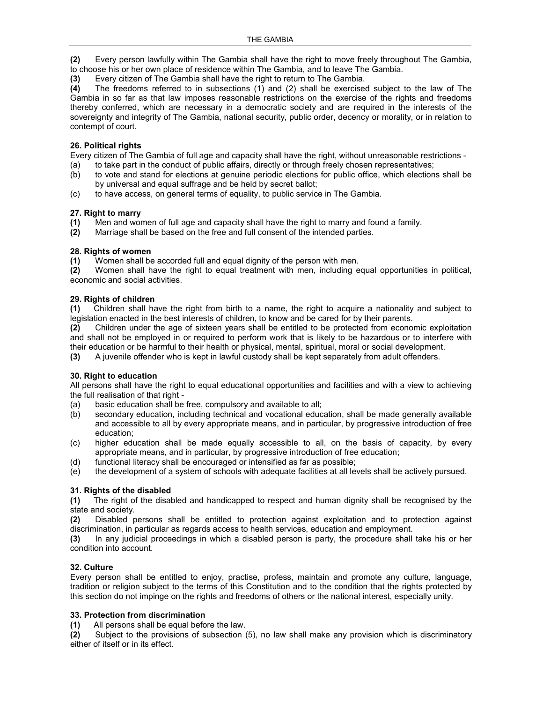**(2)** Every person lawfully within The Gambia shall have the right to move freely throughout The Gambia, to choose his or her own place of residence within The Gambia, and to leave The Gambia.

**(3)** Every citizen of The Gambia shall have the right to return to The Gambia.

**(4)** The freedoms referred to in subsections (1) and (2) shall be exercised subject to the law of The Gambia in so far as that law imposes reasonable restrictions on the exercise of the rights and freedoms thereby conferred, which are necessary in a democratic society and are required in the interests of the sovereignty and integrity of The Gambia, national security, public order, decency or morality, or in relation to contempt of court.

# **26. Political rights**

Every citizen of The Gambia of full age and capacity shall have the right, without unreasonable restrictions -

- (a) to take part in the conduct of public affairs, directly or through freely chosen representatives;
- (b) to vote and stand for elections at genuine periodic elections for public office, which elections shall be by universal and equal suffrage and be held by secret ballot;
- (c) to have access, on general terms of equality, to public service in The Gambia.

# **27. Right to marry**

- **(1)** Men and women of full age and capacity shall have the right to marry and found a family.
- **(2)** Marriage shall be based on the free and full consent of the intended parties.

# **28. Rights of women**

**(1)** Women shall be accorded full and equal dignity of the person with men.

**(2)** Women shall have the right to equal treatment with men, including equal opportunities in political, economic and social activities.

# **29. Rights of children**

**(1)** Children shall have the right from birth to a name, the right to acquire a nationality and subject to legislation enacted in the best interests of children, to know and be cared for by their parents.

**(2)** Children under the age of sixteen years shall be entitled to be protected from economic exploitation and shall not be employed in or required to perform work that is likely to be hazardous or to interfere with their education or be harmful to their health or physical, mental, spiritual, moral or social development.

**(3)** A juvenile offender who is kept in lawful custody shall be kept separately from adult offenders.

# **30. Right to education**

All persons shall have the right to equal educational opportunities and facilities and with a view to achieving the full realisation of that right -

- (a) basic education shall be free, compulsory and available to all;
- (b) secondary education, including technical and vocational education, shall be made generally available and accessible to all by every appropriate means, and in particular, by progressive introduction of free education;
- (c) higher education shall be made equally accessible to all, on the basis of capacity, by every appropriate means, and in particular, by progressive introduction of free education;
- (d) functional literacy shall be encouraged or intensified as far as possible;
- (e) the development of a system of schools with adequate facilities at all levels shall be actively pursued.

# **31. Rights of the disabled**

**(1)** The right of the disabled and handicapped to respect and human dignity shall be recognised by the state and society.

**(2)** Disabled persons shall be entitled to protection against exploitation and to protection against discrimination, in particular as regards access to health services, education and employment.

**(3)** In any judicial proceedings in which a disabled person is party, the procedure shall take his or her condition into account.

# **32. Culture**

Every person shall be entitled to enjoy, practise, profess, maintain and promote any culture, language, tradition or religion subject to the terms of this Constitution and to the condition that the rights protected by this section do not impinge on the rights and freedoms of others or the national interest, especially unity.

### **33. Protection from discrimination**

**(1)** All persons shall be equal before the law.

**(2)** Subject to the provisions of subsection (5), no law shall make any provision which is discriminatory either of itself or in its effect.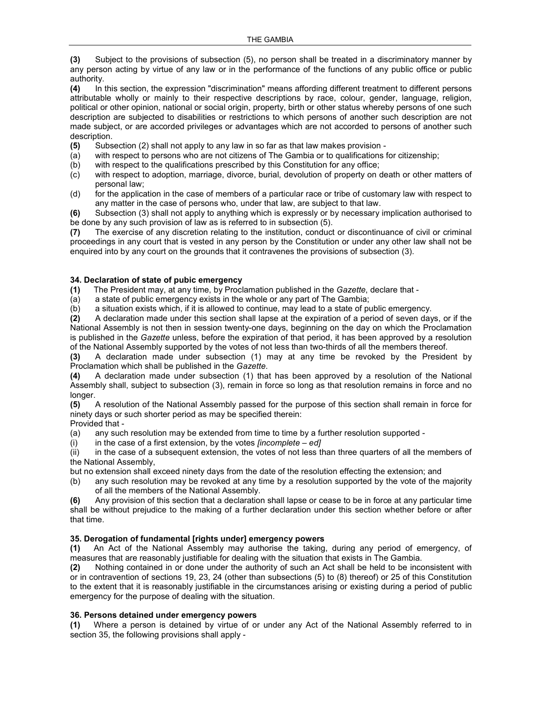**(3)** Subject to the provisions of subsection (5), no person shall be treated in a discriminatory manner by any person acting by virtue of any law or in the performance of the functions of any public office or public authority.

**(4)** In this section, the expression "discrimination" means affording different treatment to different persons attributable wholly or mainly to their respective descriptions by race, colour, gender, language, religion, political or other opinion, national or social origin, property, birth or other status whereby persons of one such description are subjected to disabilities or restrictions to which persons of another such description are not made subject, or are accorded privileges or advantages which are not accorded to persons of another such description.

- **(5)** Subsection (2) shall not apply to any law in so far as that law makes provision -
- (a) with respect to persons who are not citizens of The Gambia or to qualifications for citizenship;
- (b) with respect to the qualifications prescribed by this Constitution for any office;
- (c) with respect to adoption, marriage, divorce, burial, devolution of property on death or other matters of personal law;
- (d) for the application in the case of members of a particular race or tribe of customary law with respect to any matter in the case of persons who, under that law, are subject to that law.

**(6)** Subsection (3) shall not apply to anything which is expressly or by necessary implication authorised to be done by any such provision of law as is referred to in subsection (5).

**(7)** The exercise of any discretion relating to the institution, conduct or discontinuance of civil or criminal proceedings in any court that is vested in any person by the Constitution or under any other law shall not be enquired into by any court on the grounds that it contravenes the provisions of subsection (3).

### **34. Declaration of state of pubic emergency**

**(1)** The President may, at any time, by Proclamation published in the *Gazette*, declare that -

(a) a state of public emergency exists in the whole or any part of The Gambia;

(b) a situation exists which, if it is allowed to continue, may lead to a state of public emergency.

**(2)** A declaration made under this section shall lapse at the expiration of a period of seven days, or if the National Assembly is not then in session twenty-one days, beginning on the day on which the Proclamation is published in the *Gazette* unless, before the expiration of that period, it has been approved by a resolution of the National Assembly supported by the votes of not less than two-thirds of all the members thereof.

**(3)** A declaration made under subsection (1) may at any time be revoked by the President by Proclamation which shall be published in the *Gazette*.

**(4)** A declaration made under subsection (1) that has been approved by a resolution of the National Assembly shall, subject to subsection (3), remain in force so long as that resolution remains in force and no longer.

**(5)** A resolution of the National Assembly passed for the purpose of this section shall remain in force for ninety days or such shorter period as may be specified therein:

# Provided that -

(a) any such resolution may be extended from time to time by a further resolution supported -

(i) in the case of a first extension, by the votes *[incomplete – ed]* 

(ii) in the case of a subsequent extension, the votes of not less than three quarters of all the members of the National Assembly,

but no extension shall exceed ninety days from the date of the resolution effecting the extension; and

(b) any such resolution may be revoked at any time by a resolution supported by the vote of the majority of all the members of the National Assembly.

**(6)** Any provision of this section that a declaration shall lapse or cease to be in force at any particular time shall be without prejudice to the making of a further declaration under this section whether before or after that time.

# **35. Derogation of fundamental [rights under] emergency powers**

**(1)** An Act of the National Assembly may authorise the taking, during any period of emergency, of measures that are reasonably justifiable for dealing with the situation that exists in The Gambia.

**(2)** Nothing contained in or done under the authority of such an Act shall be held to be inconsistent with or in contravention of sections 19, 23, 24 (other than subsections (5) to (8) thereof) or 25 of this Constitution to the extent that it is reasonably justifiable in the circumstances arising or existing during a period of public emergency for the purpose of dealing with the situation.

### **36. Persons detained under emergency powers**

**(1)** Where a person is detained by virtue of or under any Act of the National Assembly referred to in section 35, the following provisions shall apply -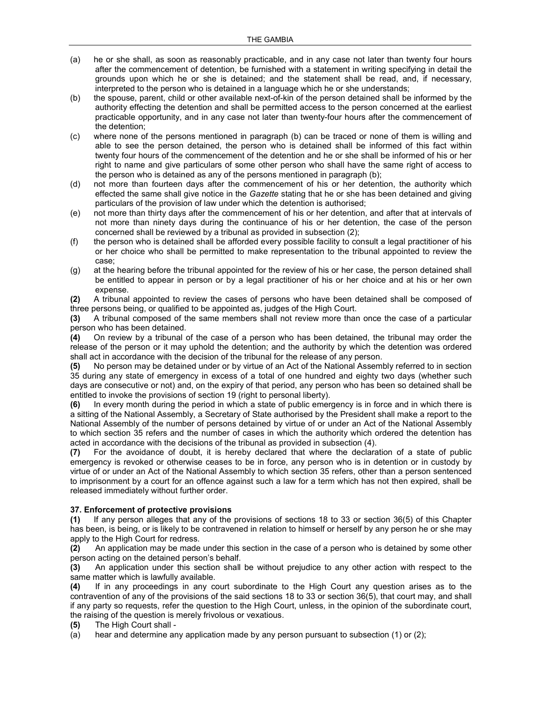- (a) he or she shall, as soon as reasonably practicable, and in any case not later than twenty four hours after the commencement of detention, be furnished with a statement in writing specifying in detail the grounds upon which he or she is detained; and the statement shall be read, and, if necessary, interpreted to the person who is detained in a language which he or she understands;
- (b) the spouse, parent, child or other available next-of-kin of the person detained shall be informed by the authority effecting the detention and shall be permitted access to the person concerned at the earliest practicable opportunity, and in any case not later than twenty-four hours after the commencement of the detention;
- (c) where none of the persons mentioned in paragraph (b) can be traced or none of them is willing and able to see the person detained, the person who is detained shall be informed of this fact within twenty four hours of the commencement of the detention and he or she shall be informed of his or her right to name and give particulars of some other person who shall have the same right of access to the person who is detained as any of the persons mentioned in paragraph (b);
- (d) not more than fourteen days after the commencement of his or her detention, the authority which effected the same shall give notice in the *Gazette* stating that he or she has been detained and giving particulars of the provision of law under which the detention is authorised;
- (e) not more than thirty days after the commencement of his or her detention, and after that at intervals of not more than ninety days during the continuance of his or her detention, the case of the person concerned shall be reviewed by a tribunal as provided in subsection (2);
- (f) the person who is detained shall be afforded every possible facility to consult a legal practitioner of his or her choice who shall be permitted to make representation to the tribunal appointed to review the case;
- (g) at the hearing before the tribunal appointed for the review of his or her case, the person detained shall be entitled to appear in person or by a legal practitioner of his or her choice and at his or her own expense.

**(2)** A tribunal appointed to review the cases of persons who have been detained shall be composed of three persons being, or qualified to be appointed as, judges of the High Court.

**(3)** A tribunal composed of the same members shall not review more than once the case of a particular person who has been detained.

**(4)** On review by a tribunal of the case of a person who has been detained, the tribunal may order the release of the person or it may uphold the detention; and the authority by which the detention was ordered shall act in accordance with the decision of the tribunal for the release of any person.

**(5)** No person may be detained under or by virtue of an Act of the National Assembly referred to in section 35 during any state of emergency in excess of a total of one hundred and eighty two days (whether such days are consecutive or not) and, on the expiry of that period, any person who has been so detained shall be entitled to invoke the provisions of section 19 (right to personal liberty).

**(6)** In every month during the period in which a state of public emergency is in force and in which there is a sitting of the National Assembly, a Secretary of State authorised by the President shall make a report to the National Assembly of the number of persons detained by virtue of or under an Act of the National Assembly to which section 35 refers and the number of cases in which the authority which ordered the detention has acted in accordance with the decisions of the tribunal as provided in subsection (4).

**(7)** For the avoidance of doubt, it is hereby declared that where the declaration of a state of public emergency is revoked or otherwise ceases to be in force, any person who is in detention or in custody by virtue of or under an Act of the National Assembly to which section 35 refers, other than a person sentenced to imprisonment by a court for an offence against such a law for a term which has not then expired, shall be released immediately without further order.

# **37. Enforcement of protective provisions**

**(1)** If any person alleges that any of the provisions of sections 18 to 33 or section 36(5) of this Chapter has been, is being, or is likely to be contravened in relation to himself or herself by any person he or she may apply to the High Court for redress.

**(2)** An application may be made under this section in the case of a person who is detained by some other person acting on the detained person's behalf.

**(3)** An application under this section shall be without prejudice to any other action with respect to the same matter which is lawfully available.

**(4)** If in any proceedings in any court subordinate to the High Court any question arises as to the contravention of any of the provisions of the said sections 18 to 33 or section 36(5), that court may, and shall if any party so requests, refer the question to the High Court, unless, in the opinion of the subordinate court, the raising of the question is merely frivolous or vexatious.

**(5)** The High Court shall -

(a) hear and determine any application made by any person pursuant to subsection (1) or (2);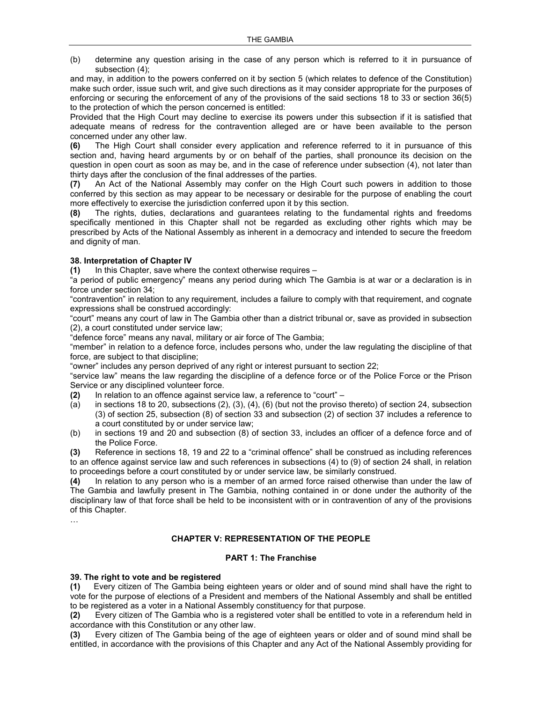(b) determine any question arising in the case of any person which is referred to it in pursuance of subsection (4);

and may, in addition to the powers conferred on it by section 5 (which relates to defence of the Constitution) make such order, issue such writ, and give such directions as it may consider appropriate for the purposes of enforcing or securing the enforcement of any of the provisions of the said sections 18 to 33 or section 36(5) to the protection of which the person concerned is entitled:

Provided that the High Court may decline to exercise its powers under this subsection if it is satisfied that adequate means of redress for the contravention alleged are or have been available to the person concerned under any other law.

**(6)** The High Court shall consider every application and reference referred to it in pursuance of this section and, having heard arguments by or on behalf of the parties, shall pronounce its decision on the question in open court as soon as may be, and in the case of reference under subsection (4), not later than thirty days after the conclusion of the final addresses of the parties.

**(7)** An Act of the National Assembly may confer on the High Court such powers in addition to those conferred by this section as may appear to be necessary or desirable for the purpose of enabling the court more effectively to exercise the jurisdiction conferred upon it by this section.

**(8)** The rights, duties, declarations and guarantees relating to the fundamental rights and freedoms specifically mentioned in this Chapter shall not be regarded as excluding other rights which may be prescribed by Acts of the National Assembly as inherent in a democracy and intended to secure the freedom and dignity of man.

# **38. Interpretation of Chapter IV**

**(1)** In this Chapter, save where the context otherwise requires –

"a period of public emergency" means any period during which The Gambia is at war or a declaration is in force under section 34;

"contravention" in relation to any requirement, includes a failure to comply with that requirement, and cognate expressions shall be construed accordingly:

"court" means any court of law in The Gambia other than a district tribunal or, save as provided in subsection (2), a court constituted under service law;

"defence force" means any naval, military or air force of The Gambia;

"member" in relation to a defence force, includes persons who, under the law regulating the discipline of that force, are subject to that discipline;

"owner" includes any person deprived of any right or interest pursuant to section 22;

"service law" means the law regarding the discipline of a defence force or of the Police Force or the Prison Service or any disciplined volunteer force.

- **(2)** In relation to an offence against service law, a reference to "court" –
- (a) in sections 18 to 20, subsections (2), (3), (4), (6) (but not the proviso thereto) of section 24, subsection (3) of section 25, subsection (8) of section 33 and subsection (2) of section 37 includes a reference to a court constituted by or under service law;
- (b) in sections 19 and 20 and subsection (8) of section 33, includes an officer of a defence force and of the Police Force.

**(3)** Reference in sections 18, 19 and 22 to a "criminal offence" shall be construed as including references to an offence against service law and such references in subsections (4) to (9) of section 24 shall, in relation to proceedings before a court constituted by or under service law, be similarly construed.

**(4)** In relation to any person who is a member of an armed force raised otherwise than under the law of The Gambia and lawfully present in The Gambia, nothing contained in or done under the authority of the disciplinary law of that force shall be held to be inconsistent with or in contravention of any of the provisions of this Chapter.

# **CHAPTER V: REPRESENTATION OF THE PEOPLE**

### **PART 1: The Franchise**

### **39. The right to vote and be registered**

**(1)** Every citizen of The Gambia being eighteen years or older and of sound mind shall have the right to vote for the purpose of elections of a President and members of the National Assembly and shall be entitled to be registered as a voter in a National Assembly constituency for that purpose.

**(2)** Every citizen of The Gambia who is a registered voter shall be entitled to vote in a referendum held in accordance with this Constitution or any other law.

**(3)** Every citizen of The Gambia being of the age of eighteen years or older and of sound mind shall be entitled, in accordance with the provisions of this Chapter and any Act of the National Assembly providing for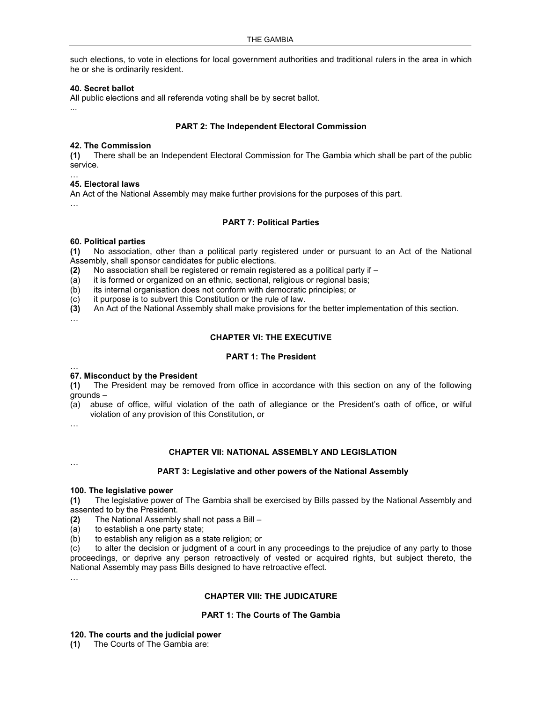such elections, to vote in elections for local government authorities and traditional rulers in the area in which he or she is ordinarily resident.

# **40. Secret ballot**

All public elections and all referenda voting shall be by secret ballot.

...

# **PART 2: The Independent Electoral Commission**

# **42. The Commission**

**(1)** There shall be an Independent Electoral Commission for The Gambia which shall be part of the public service.

### … **45. Electoral laws**

An Act of the National Assembly may make further provisions for the purposes of this part.

# **PART 7: Political Parties**

# **60. Political parties**

**(1)** No association, other than a political party registered under or pursuant to an Act of the National Assembly, shall sponsor candidates for public elections.

**(2)** No association shall be registered or remain registered as a political party if –

(a) it is formed or organized on an ethnic, sectional, religious or regional basis;

(b) its internal organisation does not conform with democratic principles; or

(c) it purpose is to subvert this Constitution or the rule of law.

**(3)** An Act of the National Assembly shall make provisions for the better implementation of this section. …

# **CHAPTER VI: THE EXECUTIVE**

### **PART 1: The President**

### … **67. Misconduct by the President**

**(1)** The President may be removed from office in accordance with this section on any of the following grounds –

(a) abuse of office, wilful violation of the oath of allegiance or the President's oath of office, or wilful violation of any provision of this Constitution, or

…

# **CHAPTER VII: NATIONAL ASSEMBLY AND LEGISLATION**

…

…

# **PART 3: Legislative and other powers of the National Assembly**

### **100. The legislative power**

**(1)** The legislative power of The Gambia shall be exercised by Bills passed by the National Assembly and assented to by the President.

**(2)** The National Assembly shall not pass a Bill –

(a) to establish a one party state;

(b) to establish any religion as a state religion; or

(c) to alter the decision or judgment of a court in any proceedings to the prejudice of any party to those proceedings, or deprive any person retroactively of vested or acquired rights, but subject thereto, the National Assembly may pass Bills designed to have retroactive effect.

# **CHAPTER VIII: THE JUDICATURE**

# **PART 1: The Courts of The Gambia**

### **120. The courts and the judicial power**

**(1)** The Courts of The Gambia are: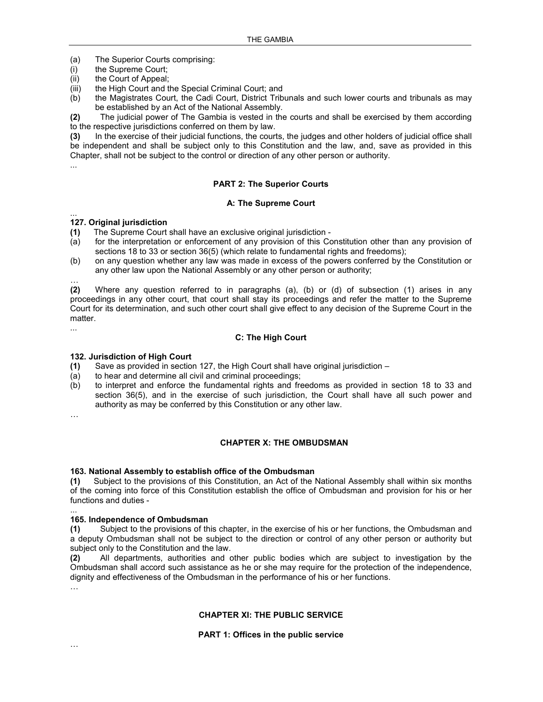(a) The Superior Courts comprising:

- (i) the Supreme Court;
- (ii) the Court of Appeal;
- (iii) the High Court and the Special Criminal Court; and
- (b) the Magistrates Court, the Cadi Court, District Tribunals and such lower courts and tribunals as may be established by an Act of the National Assembly.

**(2)** The judicial power of The Gambia is vested in the courts and shall be exercised by them according to the respective jurisdictions conferred on them by law.

**(3)** In the exercise of their judicial functions, the courts, the judges and other holders of judicial office shall be independent and shall be subject only to this Constitution and the law, and, save as provided in this Chapter, shall not be subject to the control or direction of any other person or authority.

...

### **PART 2: The Superior Courts**

### **A: The Supreme Court**

### ... **127. Original jurisdiction**

- **(1)** The Supreme Court shall have an exclusive original jurisdiction -
- (a) for the interpretation or enforcement of any provision of this Constitution other than any provision of sections 18 to 33 or section 36(5) (which relate to fundamental rights and freedoms);
- (b) on any question whether any law was made in excess of the powers conferred by the Constitution or any other law upon the National Assembly or any other person or authority;

…

**(2)** Where any question referred to in paragraphs (a), (b) or (d) of subsection (1) arises in any proceedings in any other court, that court shall stay its proceedings and refer the matter to the Supreme Court for its determination, and such other court shall give effect to any decision of the Supreme Court in the matter.

...

### **C: The High Court**

### **132. Jurisdiction of High Court**

- **(1)** Save as provided in section 127, the High Court shall have original jurisdiction –
- (a) to hear and determine all civil and criminal proceedings;
- (b) to interpret and enforce the fundamental rights and freedoms as provided in section 18 to 33 and section 36(5), and in the exercise of such jurisdiction, the Court shall have all such power and authority as may be conferred by this Constitution or any other law.

…

### **CHAPTER X: THE OMBUDSMAN**

### **163. National Assembly to establish office of the Ombudsman**

**(1)** Subject to the provisions of this Constitution, an Act of the National Assembly shall within six months of the coming into force of this Constitution establish the office of Ombudsman and provision for his or her functions and duties -

### ... **165. Independence of Ombudsman**

**(1)** Subject to the provisions of this chapter, in the exercise of his or her functions, the Ombudsman and a deputy Ombudsman shall not be subject to the direction or control of any other person or authority but subject only to the Constitution and the law.

**(2)** All departments, authorities and other public bodies which are subject to investigation by the Ombudsman shall accord such assistance as he or she may require for the protection of the independence, dignity and effectiveness of the Ombudsman in the performance of his or her functions.

…

### **CHAPTER XI: THE PUBLIC SERVICE**

### **PART 1: Offices in the public service**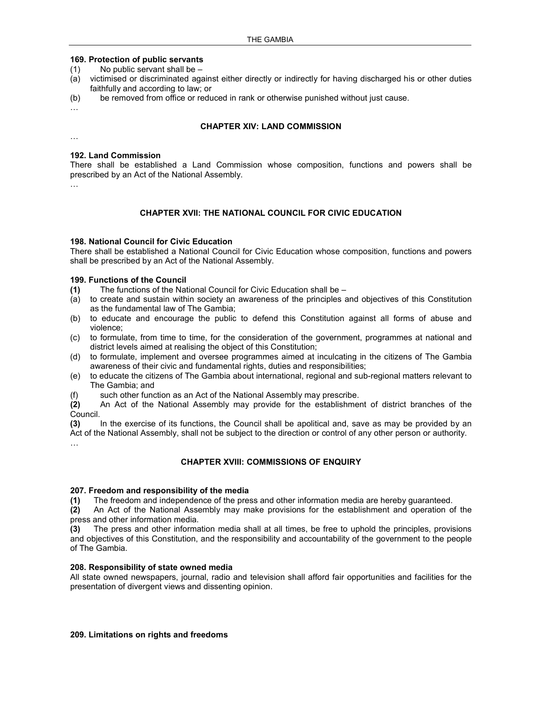### **169. Protection of public servants**

- (1) No public servant shall be –
- (a) victimised or discriminated against either directly or indirectly for having discharged his or other duties faithfully and according to law; or
- (b) be removed from office or reduced in rank or otherwise punished without just cause.

…

…

# **CHAPTER XIV: LAND COMMISSION**

### **192. Land Commission**

There shall be established a Land Commission whose composition, functions and powers shall be prescribed by an Act of the National Assembly.

…

### **CHAPTER XVII: THE NATIONAL COUNCIL FOR CIVIC EDUCATION**

### **198. National Council for Civic Education**

There shall be established a National Council for Civic Education whose composition, functions and powers shall be prescribed by an Act of the National Assembly.

### **199. Functions of the Council**

- **(1)** The functions of the National Council for Civic Education shall be –
- (a) to create and sustain within society an awareness of the principles and objectives of this Constitution as the fundamental law of The Gambia;
- (b) to educate and encourage the public to defend this Constitution against all forms of abuse and violence;
- (c) to formulate, from time to time, for the consideration of the government, programmes at national and district levels aimed at realising the object of this Constitution;
- (d) to formulate, implement and oversee programmes aimed at inculcating in the citizens of The Gambia awareness of their civic and fundamental rights, duties and responsibilities;
- (e) to educate the citizens of The Gambia about international, regional and sub-regional matters relevant to The Gambia; and
- (f) such other function as an Act of the National Assembly may prescribe.

**(2)** An Act of the National Assembly may provide for the establishment of district branches of the Council.

**(3)** In the exercise of its functions, the Council shall be apolitical and, save as may be provided by an Act of the National Assembly, shall not be subject to the direction or control of any other person or authority. …

### **CHAPTER XVIII: COMMISSIONS OF ENQUIRY**

### **207. Freedom and responsibility of the media**

**(1)** The freedom and independence of the press and other information media are hereby guaranteed.

**(2)** An Act of the National Assembly may make provisions for the establishment and operation of the press and other information media.

**(3)** The press and other information media shall at all times, be free to uphold the principles, provisions and objectives of this Constitution, and the responsibility and accountability of the government to the people of The Gambia.

### **208. Responsibility of state owned media**

All state owned newspapers, journal, radio and television shall afford fair opportunities and facilities for the presentation of divergent views and dissenting opinion.

### **209. Limitations on rights and freedoms**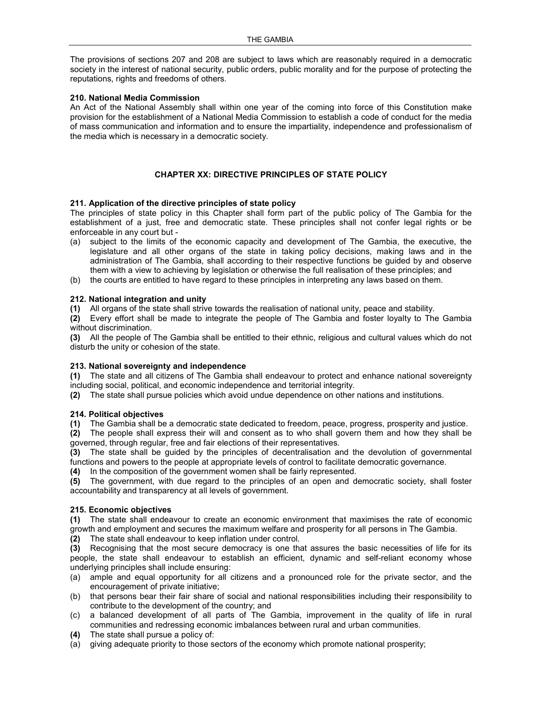The provisions of sections 207 and 208 are subject to laws which are reasonably required in a democratic society in the interest of national security, public orders, public morality and for the purpose of protecting the reputations, rights and freedoms of others.

### **210. National Media Commission**

An Act of the National Assembly shall within one year of the coming into force of this Constitution make provision for the establishment of a National Media Commission to establish a code of conduct for the media of mass communication and information and to ensure the impartiality, independence and professionalism of the media which is necessary in a democratic society.

### **CHAPTER XX: DIRECTIVE PRINCIPLES OF STATE POLICY**

### **211. Application of the directive principles of state policy**

The principles of state policy in this Chapter shall form part of the public policy of The Gambia for the establishment of a just, free and democratic state. These principles shall not confer legal rights or be enforceable in any court but -

- (a) subject to the limits of the economic capacity and development of The Gambia, the executive, the legislature and all other organs of the state in taking policy decisions, making laws and in the administration of The Gambia, shall according to their respective functions be guided by and observe them with a view to achieving by legislation or otherwise the full realisation of these principles; and
- (b) the courts are entitled to have regard to these principles in interpreting any laws based on them.

### **212. National integration and unity**

**(1)** All organs of the state shall strive towards the realisation of national unity, peace and stability.

**(2)** Every effort shall be made to integrate the people of The Gambia and foster loyalty to The Gambia without discrimination.

**(3)** All the people of The Gambia shall be entitled to their ethnic, religious and cultural values which do not disturb the unity or cohesion of the state.

### **213. National sovereignty and independence**

**(1)** The state and all citizens of The Gambia shall endeavour to protect and enhance national sovereignty including social, political, and economic independence and territorial integrity.

**(2)** The state shall pursue policies which avoid undue dependence on other nations and institutions.

### **214. Political objectives**

**(1)** The Gambia shall be a democratic state dedicated to freedom, peace, progress, prosperity and justice.

**(2)** The people shall express their will and consent as to who shall govern them and how they shall be governed, through regular, free and fair elections of their representatives.

**(3)** The state shall be guided by the principles of decentralisation and the devolution of governmental functions and powers to the people at appropriate levels of control to facilitate democratic governance.

**(4)** In the composition of the government women shall be fairly represented.

**(5)** The government, with due regard to the principles of an open and democratic society, shall foster accountability and transparency at all levels of government.

### **215. Economic objectives**

**(1)** The state shall endeavour to create an economic environment that maximises the rate of economic growth and employment and secures the maximum welfare and prosperity for all persons in The Gambia.

**(2)** The state shall endeavour to keep inflation under control.

**(3)** Recognising that the most secure democracy is one that assures the basic necessities of life for its people, the state shall endeavour to establish an efficient, dynamic and self-reliant economy whose underlying principles shall include ensuring:

- (a) ample and equal opportunity for all citizens and a pronounced role for the private sector, and the encouragement of private initiative;
- (b) that persons bear their fair share of social and national responsibilities including their responsibility to contribute to the development of the country; and
- (c) a balanced development of all parts of The Gambia, improvement in the quality of life in rural communities and redressing economic imbalances between rural and urban communities.
- **(4)** The state shall pursue a policy of:
- (a) giving adequate priority to those sectors of the economy which promote national prosperity;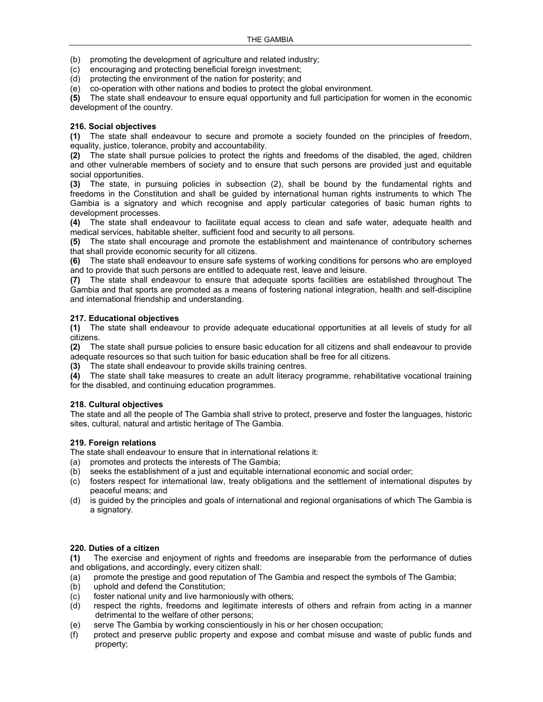(b) promoting the development of agriculture and related industry;<br>(c) encouraging and protecting beneficial foreign investment:

encouraging and protecting beneficial foreign investment;

(d) protecting the environment of the nation for posterity; and

(e) co-operation with other nations and bodies to protect the global environment.

**(5)** The state shall endeavour to ensure equal opportunity and full participation for women in the economic development of the country.

# **216. Social objectives**

**(1)** The state shall endeavour to secure and promote a society founded on the principles of freedom, equality, justice, tolerance, probity and accountability.

**(2)** The state shall pursue policies to protect the rights and freedoms of the disabled, the aged, children and other vulnerable members of society and to ensure that such persons are provided just and equitable social opportunities.

**(3)** The state, in pursuing policies in subsection (2), shall be bound by the fundamental rights and freedoms in the Constitution and shall be guided by international human rights instruments to which The Gambia is a signatory and which recognise and apply particular categories of basic human rights to development processes.

**(4)** The state shall endeavour to facilitate equal access to clean and safe water, adequate health and medical services, habitable shelter, sufficient food and security to all persons.

**(5)** The state shall encourage and promote the establishment and maintenance of contributory schemes that shall provide economic security for all citizens.

**(6)** The state shall endeavour to ensure safe systems of working conditions for persons who are employed and to provide that such persons are entitled to adequate rest, leave and leisure.

**(7)** The state shall endeavour to ensure that adequate sports facilities are established throughout The Gambia and that sports are promoted as a means of fostering national integration, health and self-discipline and international friendship and understanding.

# **217. Educational objectives**

**(1)** The state shall endeavour to provide adequate educational opportunities at all levels of study for all citizens.

**(2)** The state shall pursue policies to ensure basic education for all citizens and shall endeavour to provide adequate resources so that such tuition for basic education shall be free for all citizens.

**(3)** The state shall endeavour to provide skills training centres.

**(4)** The state shall take measures to create an adult literacy programme, rehabilitative vocational training for the disabled, and continuing education programmes.

### **218. Cultural objectives**

The state and all the people of The Gambia shall strive to protect, preserve and foster the languages, historic sites, cultural, natural and artistic heritage of The Gambia.

### **219. Foreign relations**

The state shall endeavour to ensure that in international relations it:

- (a) promotes and protects the interests of The Gambia;
- (b) seeks the establishment of a just and equitable international economic and social order;
- (c) fosters respect for international law, treaty obligations and the settlement of international disputes by peaceful means; and
- (d) is guided by the principles and goals of international and regional organisations of which The Gambia is a signatory.

# **220. Duties of a citizen**

**(1)** The exercise and enjoyment of rights and freedoms are inseparable from the performance of duties and obligations, and accordingly, every citizen shall:

- (a) promote the prestige and good reputation of The Gambia and respect the symbols of The Gambia;
- (b) uphold and defend the Constitution;
- (c) foster national unity and live harmoniously with others;
- (d) respect the rights, freedoms and legitimate interests of others and refrain from acting in a manner detrimental to the welfare of other persons;
- (e) serve The Gambia by working conscientiously in his or her chosen occupation;
- (f) protect and preserve public property and expose and combat misuse and waste of public funds and property;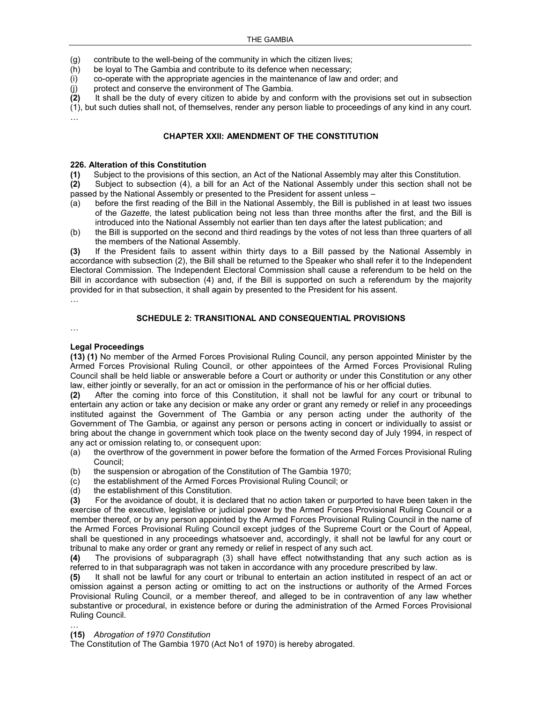(g) contribute to the well-being of the community in which the citizen lives;

(h) be loyal to The Gambia and contribute to its defence when necessary;

- (i) co-operate with the appropriate agencies in the maintenance of law and order; and
- (j) protect and conserve the environment of The Gambia.

**(2)** It shall be the duty of every citizen to abide by and conform with the provisions set out in subsection (1), but such duties shall not, of themselves, render any person liable to proceedings of any kind in any court.

# **CHAPTER XXII: AMENDMENT OF THE CONSTITUTION**

### **226. Alteration of this Constitution**

**(1)** Subject to the provisions of this section, an Act of the National Assembly may alter this Constitution.

**(2)** Subject to subsection (4), a bill for an Act of the National Assembly under this section shall not be passed by the National Assembly or presented to the President for assent unless –

- (a) before the first reading of the Bill in the National Assembly, the Bill is published in at least two issues of the *Gazette*, the latest publication being not less than three months after the first, and the Bill is introduced into the National Assembly not earlier than ten days after the latest publication; and
- (b) the Bill is supported on the second and third readings by the votes of not less than three quarters of all the members of the National Assembly.

**(3)** If the President fails to assent within thirty days to a Bill passed by the National Assembly in accordance with subsection (2), the Bill shall be returned to the Speaker who shall refer it to the Independent Electoral Commission. The Independent Electoral Commission shall cause a referendum to be held on the Bill in accordance with subsection (4) and, if the Bill is supported on such a referendum by the majority provided for in that subsection, it shall again by presented to the President for his assent.

…

…

### **SCHEDULE 2: TRANSITIONAL AND CONSEQUENTIAL PROVISIONS**

…

# **Legal Proceedings**

**(13) (1)** No member of the Armed Forces Provisional Ruling Council, any person appointed Minister by the Armed Forces Provisional Ruling Council, or other appointees of the Armed Forces Provisional Ruling Council shall be held liable or answerable before a Court or authority or under this Constitution or any other law, either jointly or severally, for an act or omission in the performance of his or her official duties.

**(2)** After the coming into force of this Constitution, it shall not be lawful for any court or tribunal to entertain any action or take any decision or make any order or grant any remedy or relief in any proceedings instituted against the Government of The Gambia or any person acting under the authority of the Government of The Gambia, or against any person or persons acting in concert or individually to assist or bring about the change in government which took place on the twenty second day of July 1994, in respect of any act or omission relating to, or consequent upon:

- (a) the overthrow of the government in power before the formation of the Armed Forces Provisional Ruling Council;
- (b) the suspension or abrogation of the Constitution of The Gambia 1970;
- (c) the establishment of the Armed Forces Provisional Ruling Council; or
- (d) the establishment of this Constitution.

**(3)** For the avoidance of doubt, it is declared that no action taken or purported to have been taken in the exercise of the executive, legislative or judicial power by the Armed Forces Provisional Ruling Council or a member thereof, or by any person appointed by the Armed Forces Provisional Ruling Council in the name of the Armed Forces Provisional Ruling Council except judges of the Supreme Court or the Court of Appeal, shall be questioned in any proceedings whatsoever and, accordingly, it shall not be lawful for any court or tribunal to make any order or grant any remedy or relief in respect of any such act.

**(4)** The provisions of subparagraph (3) shall have effect notwithstanding that any such action as is referred to in that subparagraph was not taken in accordance with any procedure prescribed by law.

**(5)** It shall not be lawful for any court or tribunal to entertain an action instituted in respect of an act or omission against a person acting or omitting to act on the instructions or authority of the Armed Forces Provisional Ruling Council, or a member thereof, and alleged to be in contravention of any law whether substantive or procedural, in existence before or during the administration of the Armed Forces Provisional Ruling Council.

… **(15)** *Abrogation of 1970 Constitution*

The Constitution of The Gambia 1970 (Act No1 of 1970) is hereby abrogated.